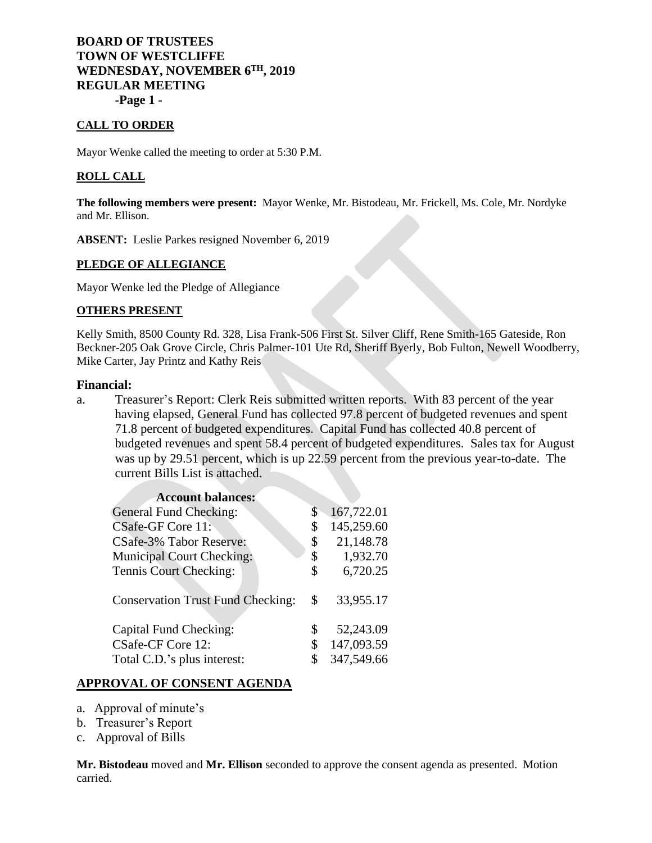# **BOARD OF TRUSTEES TOWN OF WESTCLIFFE WEDNESDAY, NOVEMBER 6TH, 2019 REGULAR MEETING -Page 1 -**

**CALL TO ORDER**

Mayor Wenke called the meeting to order at 5:30 P.M.

## **ROLL CALL**

**The following members were present:** Mayor Wenke, Mr. Bistodeau, Mr. Frickell, Ms. Cole, Mr. Nordyke and Mr. Ellison.

**ABSENT:** Leslie Parkes resigned November 6, 2019

### **PLEDGE OF ALLEGIANCE**

Mayor Wenke led the Pledge of Allegiance

#### **OTHERS PRESENT**

Kelly Smith, 8500 County Rd. 328, Lisa Frank-506 First St. Silver Cliff, Rene Smith-165 Gateside, Ron Beckner-205 Oak Grove Circle, Chris Palmer-101 Ute Rd, Sheriff Byerly, Bob Fulton, Newell Woodberry, Mike Carter, Jay Printz and Kathy Reis

#### **Financial:**

a. Treasurer's Report: Clerk Reis submitted written reports. With 83 percent of the year having elapsed, General Fund has collected 97.8 percent of budgeted revenues and spent 71.8 percent of budgeted expenditures. Capital Fund has collected 40.8 percent of budgeted revenues and spent 58.4 percent of budgeted expenditures. Sales tax for August was up by 29.51 percent, which is up 22.59 percent from the previous year-to-date. The current Bills List is attached.

| \$ | 167,722.01 |
|----|------------|
| \$ | 145,259.60 |
| \$ | 21,148.78  |
| \$ | 1,932.70   |
| \$ | 6,720.25   |
| \$ | 33,955.17  |
| \$ | 52,243.09  |
| \$ | 147,093.59 |
| S  | 347,549.66 |
|    |            |

## **APPROVAL OF CONSENT AGENDA**

- a. Approval of minute's
- b. Treasurer's Report
- c. Approval of Bills

**Mr. Bistodeau** moved and **Mr. Ellison** seconded to approve the consent agenda as presented. Motion carried.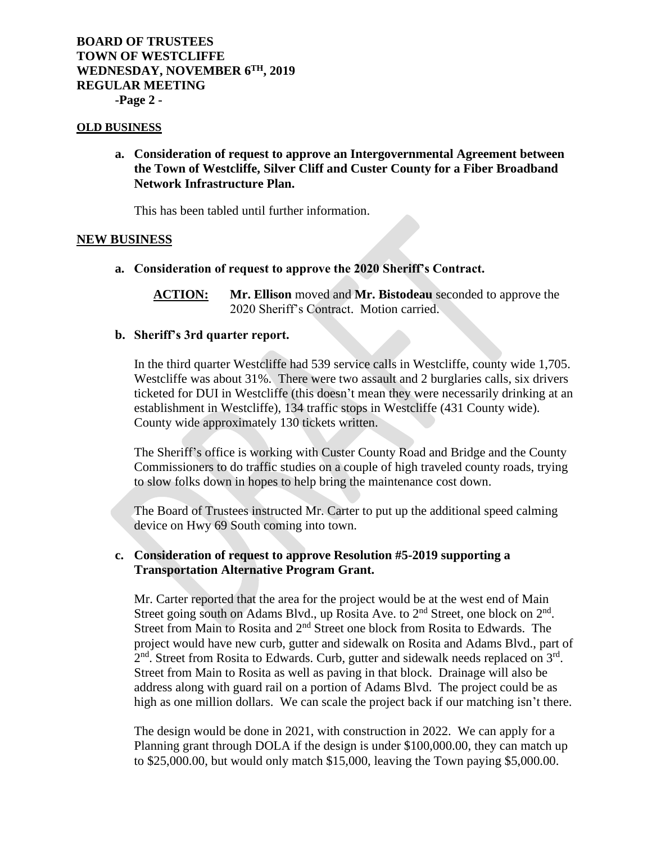# **BOARD OF TRUSTEES TOWN OF WESTCLIFFE WEDNESDAY, NOVEMBER 6TH, 2019 REGULAR MEETING -Page 2 -**

#### **OLD BUSINESS**

**a. Consideration of request to approve an Intergovernmental Agreement between the Town of Westcliffe, Silver Cliff and Custer County for a Fiber Broadband Network Infrastructure Plan.**

This has been tabled until further information.

### **NEW BUSINESS**

**a. Consideration of request to approve the 2020 Sheriff's Contract.**

**ACTION: Mr. Ellison** moved and **Mr. Bistodeau** seconded to approve the 2020 Sheriff's Contract. Motion carried.

### **b. Sheriff's 3rd quarter report.**

In the third quarter Westcliffe had 539 service calls in Westcliffe, county wide 1,705. Westcliffe was about 31%. There were two assault and 2 burglaries calls, six drivers ticketed for DUI in Westcliffe (this doesn't mean they were necessarily drinking at an establishment in Westcliffe), 134 traffic stops in Westcliffe (431 County wide). County wide approximately 130 tickets written.

The Sheriff's office is working with Custer County Road and Bridge and the County Commissioners to do traffic studies on a couple of high traveled county roads, trying to slow folks down in hopes to help bring the maintenance cost down.

The Board of Trustees instructed Mr. Carter to put up the additional speed calming device on Hwy 69 South coming into town.

### **c. Consideration of request to approve Resolution #5-2019 supporting a Transportation Alternative Program Grant.**

Mr. Carter reported that the area for the project would be at the west end of Main Street going south on Adams Blvd., up Rosita Ave. to 2<sup>nd</sup> Street, one block on 2<sup>nd</sup>. Street from Main to Rosita and 2<sup>nd</sup> Street one block from Rosita to Edwards. The project would have new curb, gutter and sidewalk on Rosita and Adams Blvd., part of  $2<sup>nd</sup>$ . Street from Rosita to Edwards. Curb, gutter and sidewalk needs replaced on  $3<sup>rd</sup>$ . Street from Main to Rosita as well as paving in that block. Drainage will also be address along with guard rail on a portion of Adams Blvd. The project could be as high as one million dollars. We can scale the project back if our matching isn't there.

The design would be done in 2021, with construction in 2022. We can apply for a Planning grant through DOLA if the design is under \$100,000.00, they can match up to \$25,000.00, but would only match \$15,000, leaving the Town paying \$5,000.00.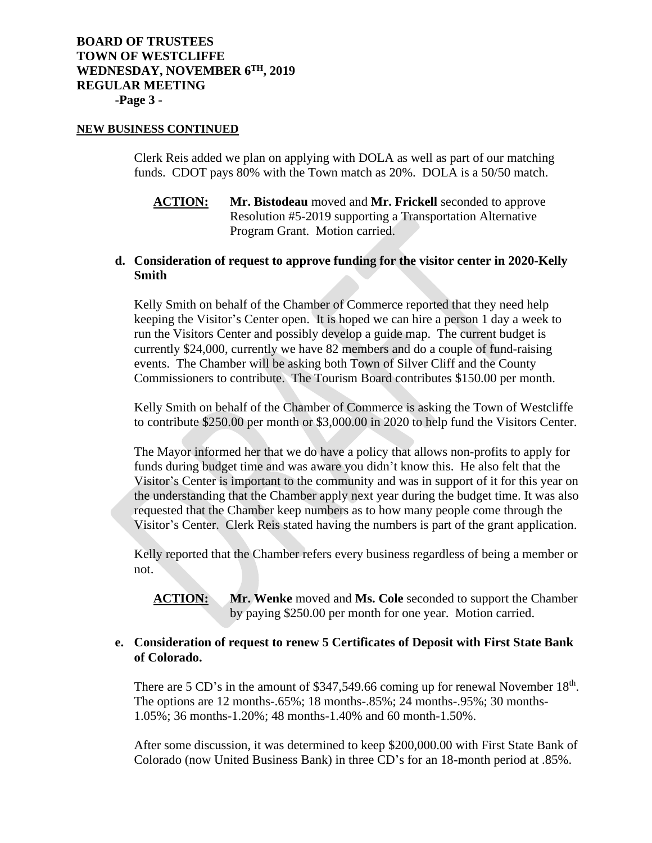# **BOARD OF TRUSTEES TOWN OF WESTCLIFFE WEDNESDAY, NOVEMBER 6TH, 2019 REGULAR MEETING -Page 3 -**

### **NEW BUSINESS CONTINUED**

Clerk Reis added we plan on applying with DOLA as well as part of our matching funds. CDOT pays 80% with the Town match as 20%. DOLA is a 50/50 match.

**ACTION: Mr. Bistodeau** moved and **Mr. Frickell** seconded to approve Resolution #5-2019 supporting a Transportation Alternative Program Grant. Motion carried.

### **d. Consideration of request to approve funding for the visitor center in 2020-Kelly Smith**

Kelly Smith on behalf of the Chamber of Commerce reported that they need help keeping the Visitor's Center open. It is hoped we can hire a person 1 day a week to run the Visitors Center and possibly develop a guide map. The current budget is currently \$24,000, currently we have 82 members and do a couple of fund-raising events. The Chamber will be asking both Town of Silver Cliff and the County Commissioners to contribute. The Tourism Board contributes \$150.00 per month.

Kelly Smith on behalf of the Chamber of Commerce is asking the Town of Westcliffe to contribute \$250.00 per month or \$3,000.00 in 2020 to help fund the Visitors Center.

The Mayor informed her that we do have a policy that allows non-profits to apply for funds during budget time and was aware you didn't know this. He also felt that the Visitor's Center is important to the community and was in support of it for this year on the understanding that the Chamber apply next year during the budget time. It was also requested that the Chamber keep numbers as to how many people come through the Visitor's Center. Clerk Reis stated having the numbers is part of the grant application.

Kelly reported that the Chamber refers every business regardless of being a member or not.

**ACTION: Mr. Wenke** moved and **Ms. Cole** seconded to support the Chamber by paying \$250.00 per month for one year. Motion carried.

## **e. Consideration of request to renew 5 Certificates of Deposit with First State Bank of Colorado.**

There are 5 CD's in the amount of  $$347,549.66$  coming up for renewal November  $18<sup>th</sup>$ . The options are 12 months-.65%; 18 months-.85%; 24 months-.95%; 30 months-1.05%; 36 months-1.20%; 48 months-1.40% and 60 month-1.50%.

After some discussion, it was determined to keep \$200,000.00 with First State Bank of Colorado (now United Business Bank) in three CD's for an 18-month period at .85%.